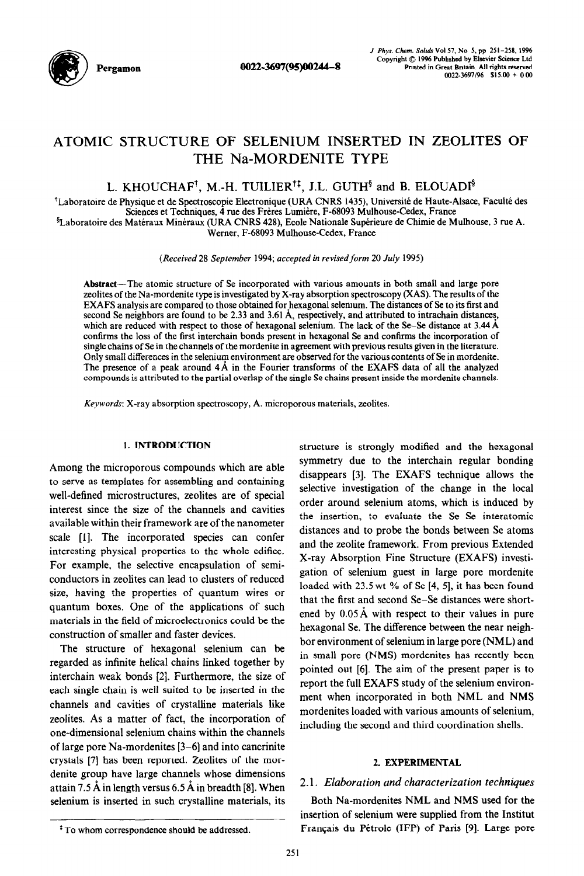

Pergamon 0022~3697(95)00244-8

# ATOMIC STRUCTURE OF SELENIUM INSERTED IN ZEOLITES OF THE Na-MORDENITE TYPE

# L. KHOUCHAF<sup>†</sup>, M.-H. TUILIER<sup>†‡</sup>, J.L. GUTH<sup>§</sup> and B. ELOUADI<sup>§</sup>

<sup>†</sup>Laboratoire de Physique et de Spectroscopie Electronique (URA CNRS 1435), Université de Haute-Alsace, Faculté des Sciences et Techniques, 4 rue des Freres Lumibre, F-68093 Mulhouse-Cedex, France <sup>§</sup>Laboratoire des Matéraux Minéraux (URA CNRS 428), Ecole Nationale Supérieure de Chimie de Mulhouse, 3 rue A. Werner, F-68093 Mulhouse-Cedex, France

*(Received 28 September 1994; accepted in revisedform 20 July* 1995)

Abstract-The atomic structure of Se incorporated with various amounts in both small and large pore zeolites of the Na-mordenite type is investigated by X-ray absorption spectroscopy (XAS). The results of the EXAFS analysis are compared to those obtained for hexagonal selenium. The distances of Se to its first and second Se neighbors are found to be 2.33 and 3.61 Å, respectively, and attributed to intrachain distances, which are reduced with respect to those of hexagonal selenium. The lack of the Se-Se distance at 3.44 Å confirms the loss of the first interchain bonds present in hexagonal Se and confirms the incorporation of single chains of Se in the channels of the mordenite in agreement with previous results given in the literature. Only small differences in the selenium environment are observed for the various contents of Se in mordenite. The presence of a peak around 4A in the Fourier transforms of the EXAFS data of all the analyzed compounds is attributed to the partial overlap of the single Se chains present inside the mordenite channels.

*Keywords:* X-ray absorption spectroscopy, A. microporous materials, zeolites.

# 1. INTRODUCTION

Among the microporous compounds which are able to serve as templates for assembling and containing well-defined microstructures, zeolites are of special interest since the size of the channels and cavities available within their framework are of the nanometer scale [l]. The incorporated species can confer interesting physical properties to the whole edifice. For example, the selective encapsulation of semiconductors in zeolites can lead to clusters of reduced size, having the properties of quantum wires or quantum boxes. One of the applications of such materials in the field of microelectronics could be the construction of smaller and faster devices.

The structure of hexagonal selenium can be regarded as infinite helical chains linked together by interchain weak bonds [2]. Furthermore, the size of each single chain is well suited to be inserted in the channels and cavities of crystalline materials like zeolites. As a matter of fact, the incorporation of one-dimensional selenium chains within the channels of large pore Na-mordenites  $[3-6]$  and into cancrinite crystals [7] has been reported. Zeolites of the mordenite group have large channels whose dimensions attain 7.5 A in length versus 6.5 A in breadth [8]. When selenium is inserted in such crystalline materials, its structure is strongly modified and the hexagonal symmetry due to the interchain regular bonding disappears [3]. The EXAFS technique allows the selective investigation of the change in the local order around selenium atoms, which is induced by the insertion, to evaluate the Se-Se interatomic distances and to probe the bonds between Se atoms and the zeolite framework. From previous Extended X-ray Absorption Fine Structure (EXAFS) investigation of selenium guest in large pore mordenite loaded with 23.5 wt % of Se [4, 51, it has been found that the first and second Se-Se distances were shortened by  $0.05 \text{ Å}$  with respect to their values in pure hexagonal Se. The difference between the near neighbor environment of selenium in large pore (NML) and in small pore (NMS) mordenites has recently been pointed out [6]. The aim of the present paper is to report the full EXAFS study of the selenium environment when incorporated in both NML and NMS mordenites loaded with various amounts of selenium, including the second and third coordination shells.

# 2. EXPERIMENTAL

# 2.1. *Elaboration and characterization techniques*

Both Na-mordenites NML and NMS used for the insertion of selenium were supplied from the Institut Francais du Petrole (IFP) of Paris [9]. Large pore

<sup>&</sup>lt;sup>‡</sup>To whom correspondence should be addressed.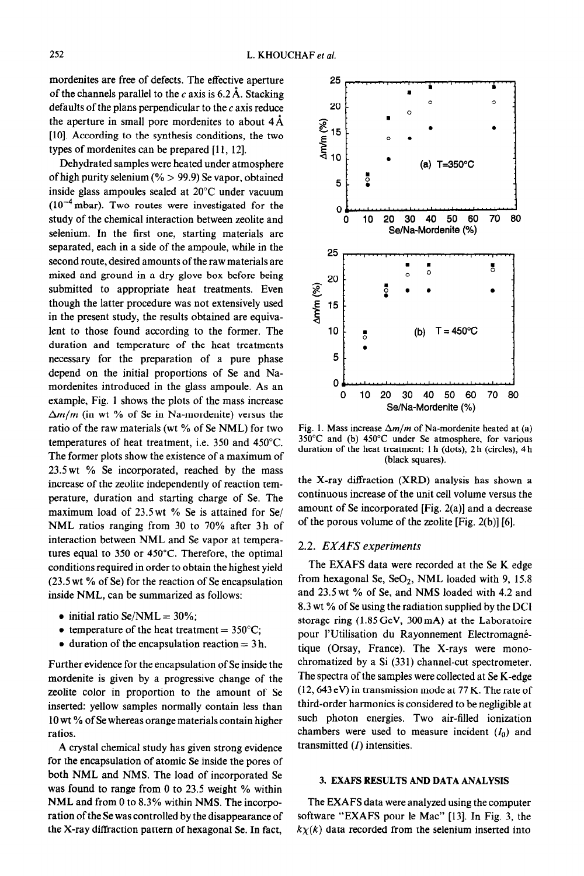mordenites are free of defects. The effective aperture of the channels parallel to the c axis is  $6.2 \text{ Å}$ . Stacking defaults of the plans perpendicular to the  $c$  axis reduce the aperture in small pore mordenites to about  $4\text{\AA}$ [lo]. According to the synthesis conditions, the two types of mordenites can be prepared [11, 12].

Dehydrated samples were heated under atmosphere of high purity selenium (%  $>$  99.9) Se vapor, obtained inside glass ampoules sealed at 20°C under vacuum  $(10^{-4}$  mbar). Two routes were investigated for the study of the chemical interaction between zeolite and selenium. In the first one, starting materials are separated, each in a side of the ampoule, while in the second route, desired amounts of the raw materials are mixed and ground in a dry glove box before being submitted to appropriate heat treatments. Even though the latter procedure was not extensively used in the present study, the results obtained are equivalent to those found according to the former. The duration and temperature of the heat treatments necessary for the preparation of a pure phase depend on the initial proportions of Se and Namordenites introduced in the glass ampoule. As an example, Fig. 1 shows the plots of the mass increase  $\Delta m/m$  (in wt % of Se in Na-mordenite) versus the ratio of the raw materials (wt % of Se NML) for two temperatures of heat treatment, i.e. 350 and 450°C. The former plots show the existence of a maximum of 23.5 wt % Se incorporated, reached by the mass increase of the zeolite independently of reaction temperature, duration and starting charge of Se. The maximum load of 23.5wt % Se is attained for Se/ NML ratios ranging from 30 to 70% after 3h of interaction between NML and Se vapor at temperatures equal to 350 or 450°C. Therefore, the optimal conditions required in order to obtain the highest yield (23.5 wt % of Se) for the reaction of Se encapsulation inside NML, can be summarized as follows:

- $\bullet$  initial ratio Se/NML = 30%;
- temperature of the heat treatment =  $350^{\circ}$ C;
- $\bullet$  duration of the encapsulation reaction = 3 h.

Further evidence for the encapsulation of Se inside the mordenite is given by a progressive change of the zeolite color in proportion to the amount of Se inserted: yellow samples normally contain less than 10 wt % of Se whereas orange materials contain higher ratios.

A crystal chemical study has given strong evidence for the encapsulation of atomic Se inside the pores of both NML and NMS. The load of incorporated Se was found to range from 0 to 23.5 weight % within NML and from 0 to 8.3% within NMS. The incorporation of the Se was controlled by the disappearance of the X-ray diffraction pattern of hexagonal Se. In fact,



Fig. 1. Mass increase  $\Delta m/m$  of Na-mordenite heated at (a) 350°C and (b) 450°C under Se atmosphere, for various duration of the heat treatment: 1 h (dots), 2 h (circles), 4 h (black squares).

the X-ray diffraction (XRD) analysis has shown a continuous increase of the unit cell volume versus the amount of Se incorporated [Fig. 2(a)] and a decrease of the porous volume of the zeolite [Fig. 2(b)] [6].

# *2.2. EXAFS experiments*

The EXAFS data were recorded at the Se K edge from hexagonal Se,  $SeO<sub>2</sub>$ , NML loaded with 9, 15.8 and 23.5wt % of Se, and NMS loaded with 4.2 and 8.3 wt % of Se using the radiation supplied by the DC1 storage ring (1.85 GeV, 300 mA) at the Laboratoire pour l'Utilisation du Rayonnement Electromagnétique (Orsay, France). The X-rays were monochromatized by a Si (331) channel-cut spectrometer. The spectra of the samples were collected at Se K-edge (12,643 eV) in transmission mode at 77 K. The rate of third-order harmonics is considered to be negligible at such photon energies. Two air-filled ionization chambers were used to measure incident  $(I_0)$  and transmitted  $(I)$  intensities.

## 3. EXAFS RESULTS AND DATA ANALYSIS

The EXAFS data were analyzed using the computer software "EXAFS pour le Mac" [13]. In Fig. 3, the  $k\chi(k)$  data recorded from the selenium inserted into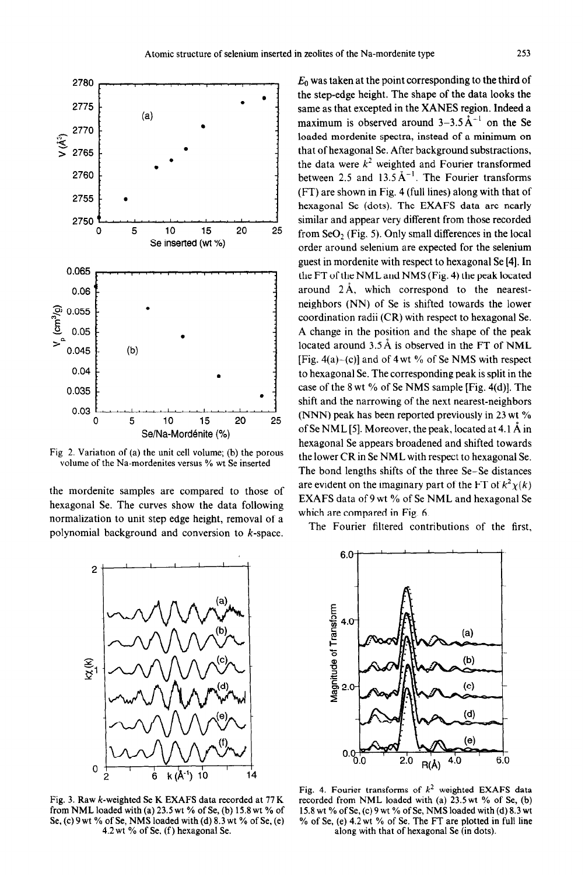

Fig 2. Variation of (a) the unit cell volume; (b) the porous volume of the Na-mordenites versus % wt Se inserted

the mordenite samples are compared to those of hexagonal Se. The curves show the data following normalization to unit step edge height, removal of a polynomial background and conversion to k-space.



Fig. 3. Raw k-weighted Se K EXAFS data recorded at 77 K from NML loaded with (a)  $23.5$  wt % of Se, (b) 15.8 wt % of Se, (c) 9 wt % of Se, NMS loaded with (d)  $8.3$  wt % of Se, (e)

 $E_0$  was taken at the point corresponding to the third of the step-edge height. The shape of the data looks the same as that excepted in the XANES region. Indeed a maximum is observed around  $3-3.5 \text{ Å}^{-1}$  on the Se loaded mordenite spectra, instead of a minimum on that of hexagonal Se. After background substractions, the data were  $k^2$  weighted and Fourier transformed between 2.5 and  $13.5 \text{ Å}^{-1}$ . The Fourier transforms (FT) are shown in Fig. 4 (full lines) along with that of hexagonal Se (dots). The EXAFS data are nearly similar and appear very different from those recorded from  $SeO<sub>2</sub>$  (Fig. 5). Only small differences in the local order around selenium are expected for the selenium guest in mordenite with respect to hexagonal Se [4]. In the FT of the NML and NMS (Fig. 4) the peak located around 2A, which correspond to the nearestneighbors (NN) of Se is shifted towards the lower coordination radii (CR) with respect to hexagonal Se. A change in the position and the shape of the peak located around 3.5 Å is observed in the FT of NML [Fig. 4(a) $-(c)$ ] and of 4 wt % of Se NMS with respect to hexagonal Se. The corresponding peak is split in the case of the 8 wt  $\%$  of Se NMS sample [Fig. 4(d)]. The shift and the narrowing of the next nearest-neighbors (NNN) peak has been reported previously in 23 wt % of Se NML [5]. Moreover, the peak, located at 4.1  $\AA$  in hexagonal Se appears broadened and shifted towards the lower CR in Se NML with respect to hexagonal Se. The bond lengths shifts of the three Se-Se distances are evident on the imaginary part of the FT of  $k^2 \chi(k)$ EXAFS data of 9 wt % of Se NML and hexagonal Se which are compared in Fig. 6.

The Fourier filtered contributions of the first,



Fig. 4. Fourier transforms of  $k^2$  weighted EXAFS data recorded from NML loaded with (a) 23.5wt % of Se, (b) 15.8 wt % of Se, (c) 9 wt % of Se, NMS loaded with (d) 8.3 wt % of Se, (e) 4.2 wt % of Se. The FT are plotted in full line 4.2 wt % of Se, (f) hexagonal Se. along with that of hexagonal Se (in dots).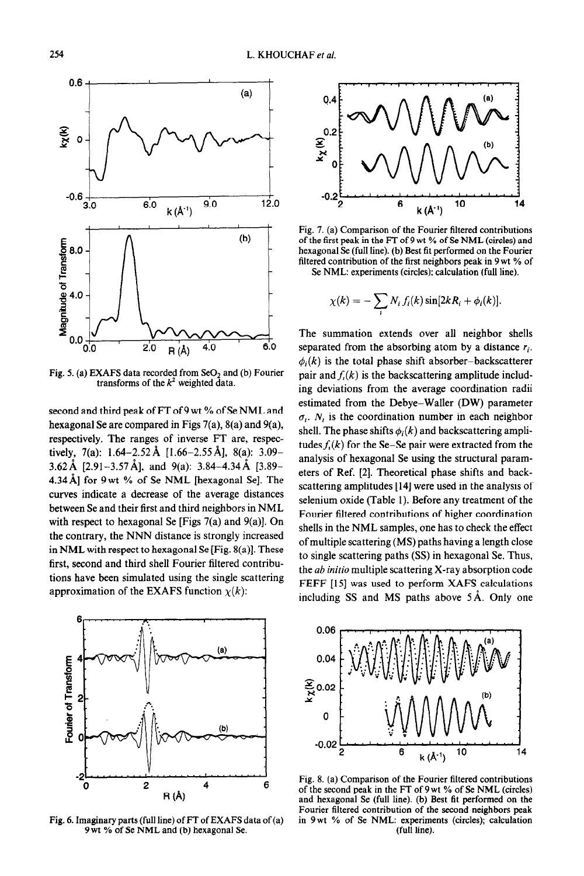

Fig. 5. (a) EXAFS data recorded from  $SeO<sub>2</sub>$  and (b) Fourier transforms of the  $k^2$  weighted data.

second and third peak of FT of 9 wt % of Se NML and hexagonal Se are compared in Figs 7(a), 8(a) and 9(a), respectively. The ranges of inverse FT are, respectively, 7(a):  $1.64 - 2.52$  Å [1.66-2.55 Å], 8(a): 3.09-3.62 Å [2.91-3.57 Å], and 9(a): 3.84-4.34 Å [3.89-4.34 Å] for 9 wt % of Se NML [hexagonal Se]. The curves indicate a decrease of the average distances between Se and their first and third neighbors in NML with respect to hexagonal Se [Figs  $7(a)$  and  $9(a)$ ]. On the contrary, the NNN distance is strongly increased in NML with respect to hexagonal Se  $[Fig. 8(a)]$ . These first, second and third shell Fourier filtered contributions have been simulated using the single scattering approximation of the EXAFS function  $\chi(k)$ :



Fig. 6. Imaginary parts (full line) of FT of EXAFS data of (a) 9 wt % of Se NML and (b) hexagonal Se.



Fig. 7. (a) Comparison of the Fourier filtered contributions of the first peak in the FT of 9 wt % of Se NML (circles) and hexagonal Se (full line). (b) Best fit performed on the Fourier filtered contribution of the first neighbors peak in 9 wt % of Se NML: experiments (circles); calculation (full line).

$$
\chi(k) = -\sum_i N_i f_i(k) \sin[2kR_i + \phi_i(k)].
$$

The summation extends over all neighbor shells separated from the absorbing atom by a distance  $r_i$ .  $\phi_i(k)$  is the total phase shift absorber-backscatterer pair and  $f_i(k)$  is the backscattering amplitude including deviations from the average coordination radii estimated from the Debye-Waller (DW) parameter  $\sigma_i$ . N<sub>i</sub> is the coordination number in each neighbor shell. The phase shifts  $\phi_i(k)$  and backscattering amplitudes  $f<sub>i</sub>(k)$  for the Se-Se pair were extracted from the analysis of hexagonal Se using the structural parameters of Ref. [2]. Theoretical phase shifts and backscattering amplitudes [14] were used in the analysis of selenium oxide (Table 1). Before any treatment of the Fourier filtered contributions of higher coordination shells in the NML samples, one has to check the effect of multiple scattering (MS) paths having a length close to single scattering paths (SS) in hexagonal Se. Thus, the ab *initio* multiple scattering X-ray absorption code FEFF [15] was used to perform XAFS calculations including SS and MS paths above 5A. Only one



Fig. 8. (a) Comparison of the Fourier filtered contributions of the second peak in the FT of 9 wt % of Se NML (circles) and hexagonal Se (full line). (b) Best fit performed on the Fourier filtered contribution of the second neighbors peak in 9wt % of Se NML: experiments (circles); calculation (full line).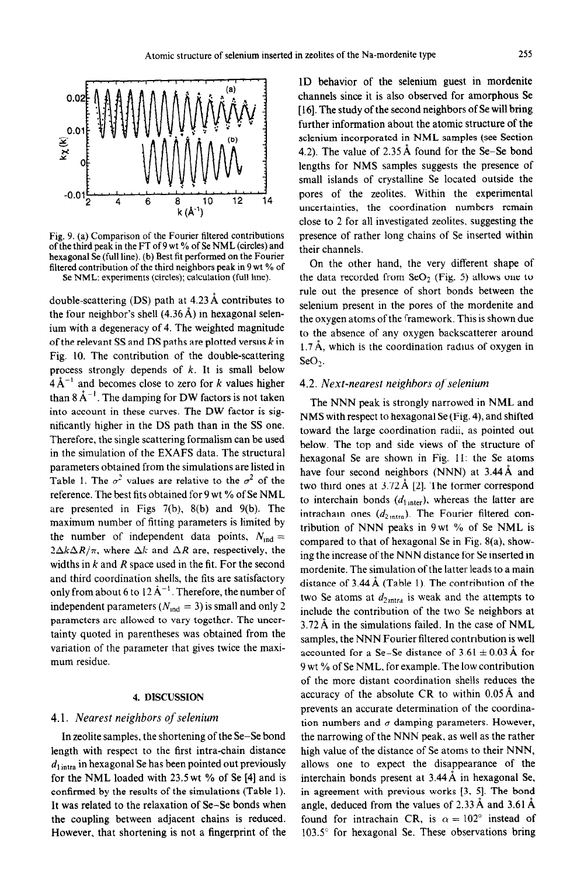

Fig. 9. (a) Comparison of the Fourier filtered contributions of the third peak in the FT of 9 wt % of Se NML (circles) and hexagonal Se (full line). (b) Best fit performed on the Fourier filtered contribution of the third neighbors peak in 9 wt % of Se NML: experiments (circles); calculation (full line).

double-scattering (DS) path at 4.23 A contributes to the four neighbor's shell  $(4.36 \text{ Å})$  in hexagonal selenium with a degeneracy of 4. The weighted magnitude of the relevant SS and DS paths are plotted versus  $k$  in Fig. 10. The contribution of the double-scattering process strongly depends of  $k$ . It is small below  $4\text{\AA}^{-1}$  and becomes close to zero for *k* values higher than  $8 \mathrm{\AA}^{-1}$ . The damping for DW factors is not taken into account in these curves. The DW factor is significantly higher in the DS path than in the SS one. Therefore, the single scattering formalism can be used in the simulation of the EXAFS data. The structural parameters obtained from the simulations are listed in Table 1. The  $\sigma^2$  values are relative to the  $\sigma^2$  of the reference. The best fits obtained for 9 wt % of Se NML are presented in Figs 7(b), 8(b) and 9(b). The maximum number of fitting parameters is limited by the number of independent data points,  $N_{\text{ind}} =$  $2\Delta k\Delta R/\pi$ , where  $\Delta k$  and  $\Delta R$  are, respectively, the widths in *k* and *R* space used in the fit. For the second and third coordination shells, the fits are satisfactory only from about 6 to  $12 \text{ Å}^{-1}$ . Therefore, the number of independent parameters ( $N_{\text{ind}} = 3$ ) is small and only 2 parameters are allowed to vary together. The uncertainty quoted in parentheses was obtained from the variation of the parameter that gives twice the maximum residue.

# 4. DISCUSSION

# 4.1. *Nearest neighbors of selenium*

*In* zeolite samples, the shortening of the Se-Se bond length with respect to the first intra-chain distance *d, intra* in hexagonal Se has been pointed out previously for the NML loaded with 23.5 wt % of Se [4] and is confirmed by the results of the simulations (Table 1). It was related to the relaxation of Se-Se bonds when the coupling between adjacent chains is reduced. However, that shortening is not a fingerprint of the 1D behavior of the selenium guest in mordenite channels since it is also observed for amorphous Se [16]. The study of the second neighbors of Se will bring further information about the atomic structure of the selenium incorporated in NML samples (see Section 4.2). The value of 2.35A found for the Se-Se bond lengths for NMS samples suggests the presence of small islands of crystalline Se located outside the pores of the zeolites. Within the experimental uncertainties, the coordination numbers remain close to 2 for all investigated zeolites. suggesting the presence of rather long chains of Se inserted within their channels.

On the other hand, the very different shape of the data recorded from  $SeO<sub>2</sub>$  (Fig. 5) allows one to rule out the presence of short bonds between the selenium present in the pores of the mordenite and the oxygen atoms of the framework. This is shown due to the absence of any oxygen backscatterer around 1.7 Å, which is the coordination radius of oxygen in **SeO?** 

# *4.2. Next-nearest neighbors of selenium*

The NNN peak is strongly narrowed in NML and NMS with respect to hexagonal Se (Fig. 4), and shifted toward the large coordination radii, as pointed out below. The top and side views of the structure of hexagonal Se are shown in Fig. 11: the Se atoms have four second neighbors (NNN) at 3.44 Å and two third ones at  $3.72 \text{ Å}$  [2]. The former correspond to interchain bonds  $(d<sub>1 inter</sub>)$ , whereas the latter are intrachain ones  $(d_{2 \text{intra}})$ . The Fourier filtered contribution of NNN peaks in 9wt % of Se NML is compared to that of hexagonal Se in Fig. 8(a). showing the increase of the NNN distance for Se inserted in mordenite. The simulation of the latter leads to a main distance of  $3.44 \text{ Å}$  (Table 1). The contribution of the two Se atoms at  $d_{2ntra}$  is weak and the attempts to include the contribution of the two Se neighbors at 3.72 A in the simulations failed. In the case of NML samples, the NNN Fourier filtered contrrbution is well accounted for a Se-Se distance of  $3.61 \pm 0.03$  Å for 9 wt % of Se NML. for example. The low contribution of the more distant coordination shells reduces the accuracy of the absolute CR to within  $0.05 \text{\AA}$  and prevents an accurate determination of the coordination numbers and  $\sigma$  damping parameters. However, the narrowing of the NNN peak, as well as the rather high value of the distance of Se atoms to their NNN, allows one to expect the disappearance of the interchain bonds present at  $3.44 \text{ Å}$  in hexagonal Se, in agreement with previous works [3, 5]. The bond angle, deduced from the values of  $2.33 \text{ Å}$  and  $3.61 \text{ Å}$ found for intrachain CR, is  $\alpha = 102^{\circ}$  instead of 103.5" for hexagonal Se. These observations bring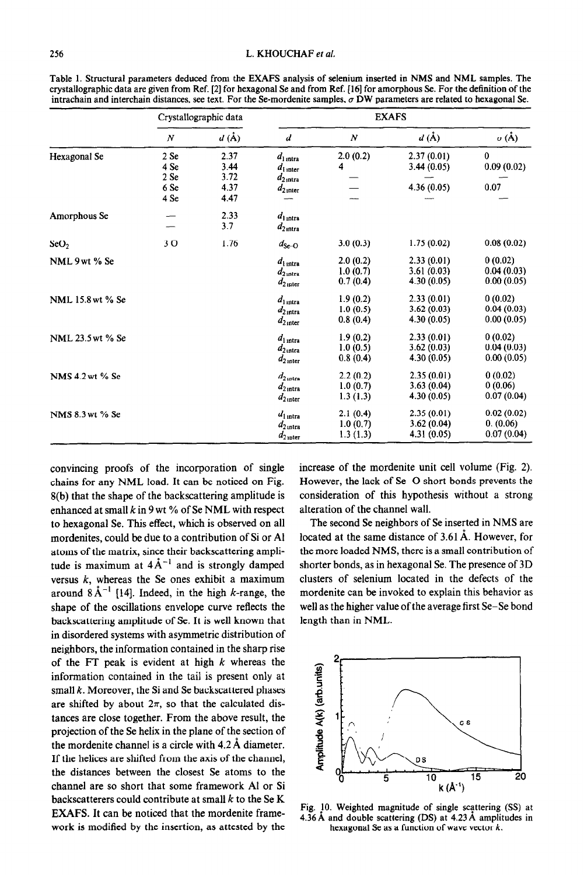|                  | Crystallographic data    |                                       | <b>EXAFS</b>                                                            |                                  |                                         |                                       |
|------------------|--------------------------|---------------------------------------|-------------------------------------------------------------------------|----------------------------------|-----------------------------------------|---------------------------------------|
|                  | $\boldsymbol{N}$         | $d\left(\mathbf{\mathring{A}}\right)$ | d                                                                       | N                                | $d(\AA)$                                | $\sigma(\text{\AA})$                  |
| Hexagonal Se     | 2 S <sub>e</sub><br>4 Se | 2.37<br>3.44                          | $d_{1 \text{ intra}}$<br>$d_{\text{l} \text{ inter}}$                   | 2.0(0.2)<br>4                    | 2.37(0.01)<br>3.44(0.05)                | $\bf{0}$<br>0.09(0.02)                |
|                  | 2 Se<br>6 Se<br>4 Se     | 3.72<br>4.37<br>4.47                  | $d_{2,\text{intra}}$<br>$d_{2\,\text{inter}}$                           |                                  | 4.36(0.05)                              | 0.07                                  |
| Amorphous Se     |                          | 2.33<br>3.7                           | $d_{1 \text{ intra}}$<br>$d_{2}$ <sub>intra</sub>                       |                                  |                                         |                                       |
| SeO <sub>2</sub> | 30                       | 1.76                                  | $d_{\rm Se-O}$                                                          | 3.0(0.3)                         | 1.75(0.02)                              | 0.08(0.02)                            |
| NML 9 wt % Se    |                          |                                       | $d_{1 \text{ intra}}$<br>$d_{2 \text{ intra}}$<br>$d_{2,\text{inter}}$  | 2.0(0.2)<br>1.0(0.7)<br>0.7(0.4) | 2.33(0.01)<br>3.61(0.03)<br>4.30(0.05)  | 0(0.02)<br>0.04(0.03)<br>0.00(0.05)   |
| NML 15.8 wt % Se |                          |                                       | $d_{1 \text{ intra}}$<br>$d_{2,\text{intra}}$<br>$d_{2\text{ inter}}$   | 1.9(0.2)<br>1.0(0.5)<br>0.8(0.4) | 2.33(0.01)<br>3.62(0.03)<br>4.30(0.05)  | 0(0.02)<br>0.04(0.03)<br>0.00(0.05)   |
| NML 23.5 wt % Se |                          |                                       | $d_{1 \text{ intra}}$<br>$d_{2 \text{ intra}}$<br>$d_{2\,\text{inter}}$ | 1.9(0.2)<br>1.0(0.5)<br>0.8(0.4) | 2.33(0.01)<br>3.62(0.03)<br>4.30 (0.05) | 0(0.02)<br>0.04(0.03)<br>0.00(0.05)   |
| NMS 4.2 wt % Se  |                          |                                       | $d_{2,\rm intra}$<br>$d_{2,\text{intra}}$<br>$d_{2\,\text{inter}}$      | 2.2(0.2)<br>1.0(0.7)<br>1.3(1.3) | 2.35(0.01)<br>3.63(0.04)<br>4.30(0.05)  | 0(0.02)<br>0(0.06)<br>0.07(0.04)      |
| NMS 8.3 wt % Se  |                          |                                       | $d_{1 \text{ intra}}$<br>$d_{2 \text{ intra}}$<br>$d_{2\text{ inter}}$  | 2.1(0.4)<br>1.0(0.7)<br>1.3(1.3) | 2.35(0.01)<br>3.62(0.04)<br>4.31 (0.05) | 0.02(0.02)<br>0. (0.06)<br>0.07(0.04) |

Table 1. Structural parameters deduced from the EXAFS analysis of selenium inserted in NMS and NML samples. The crystallographic data are given from Ref. [2] for hexagonal Se and from Ref. [16] for amorphous Se. For the definition of the intrachain and interchain distances, see text. For the Se-mordenite samples,  $\sigma$  DW parameters are related to hexagonal Se.

convincing proofs of the incorporation of single chains for any NML load. It can be noticed on Fig. 8(b) that the shape of the backscattering amplitude is enhanced at small  $k$  in 9 wt % of Se NML with respect to hexagonal Se. This effect, which is observed on all mordenites, could be due to a contribution of Si or Al atoms of the matrix, since their backscattering amplitude is maximum at  $4\text{\AA}^{-1}$  and is strongly damped versus  $k$ , whereas the Se ones exhibit a maximum around  $8\text{\AA}^{-1}$  [14]. Indeed, in the high k-range, the shape of the oscillations envelope curve reflects the backscattering amplitude of Se. It is well known that in disordered systems with asymmetric distribution of neighbors, the information contained in the sharp rise of the FT peak is evident at high *k* whereas the information contained in the tail is present only at small *k.* Moreover, the Si and Se backscattered phases are shifted by about  $2\pi$ , so that the calculated distances are close together. From the above result, the projection of the Se helix in the plane of the section of the mordenite channel is a circle with  $4.2 \text{ Å}$  diameter. If the helices are shifted from the axis of the channel, the distances between the closest Se atoms to the channel are so short that some framework Al or Si backscatterers could contribute at small *k* to the Se K EXAFS. It can be noticed that the mordenite framework is modified by the insertion, as attested by the

increase of the mordenite unit cell volume (Fig. 2). However, the lack of Se-O short bonds prevents the consideration of this hypothesis without a strong alteration of the channel wall.

The second Se neighbors of Se inserted in NMS are located at the same distance of 3.61 A. However, for the more loaded NMS, there is a small contribution of shorter bonds, as in hexagonal Se. The presence of 3D clusters of selenium located in the defects of the mordenite can be invoked to explain this behavior as well as the higher value of the average first Se-Se bond length than in NML.



Fig. !O. Weighted magnitude of single scattering (SS) at 4.36A and double scattering (DS) at 4.23A amplitudes in hexagonal Se as a function of wave vector  $k$ .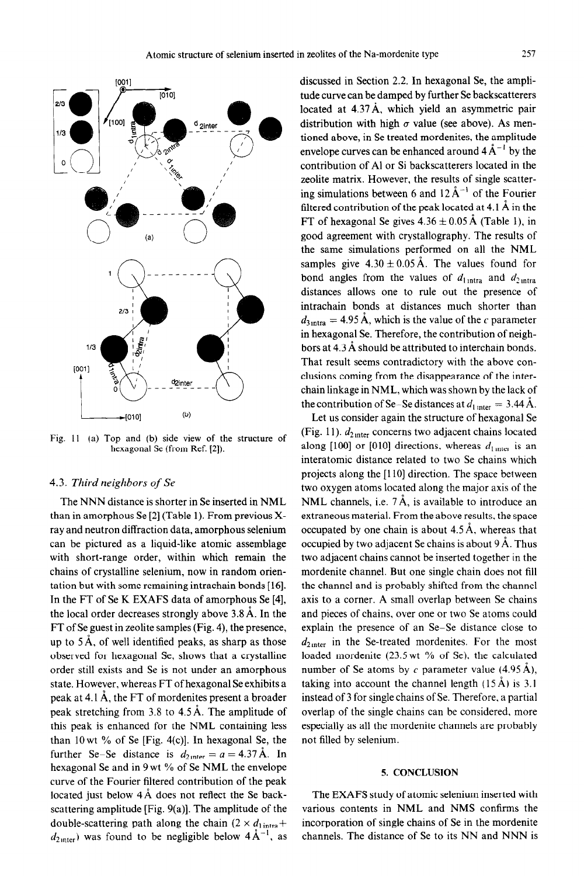

Fig. 11 (a) Top and (b) side view of the structure of hexagonal Se (from Ref. [2]).

### *4.3. Third neighbors of Se*

The NNN distance is shorter in Se inserted in NML than in amorphous Se [2] (Table 1). From previous Xray and neutron diffraction data, amorphous selenium can be pictured as a liquid-like atomic assemblage with short-range order, within which remain the chains of crystalline selenium, now in random orientation but with some remaining intrachain bonds [16]. In the FT of Se K EXAFS data of amorphous Se [4], the local order decreases strongly above 3.8 A. In the FT of Se guest in zeolite samples (Fig. 4), the presence, up to  $5\text{\AA}$ , of well identified peaks, as sharp as those observed for hexagonal Se, shows that a crystalline order still exists and Se is not under an amorphous state. However, whereas FT of hexagonal Se exhibits a peak at 4.1 A, the FT of mordenites present a broader peak stretching from 3.8 to 4.5A. The amplitude of this peak is enhanced for the NML containing less than 1Owt % of Se [Fig. 4(c)]. In hexagonal Se, the further Se-Se distance is  $d_{2 \text{ inter}} = a = 4.37 \text{ Å}$ . In hexagonal Se and in 9 wt % of Se NML the envelope curve of the Fourier filtered contribution of the peak located just below  $4\text{ Å}$  does not reflect the Se backscattering amplitude [Fig. 9(a)]. The amplitude of the double-scattering path along the chain  $(2 \times d_{1})_{\text{intra}} +$  $d_{2\text{inter}}$ ) was found to be negligible below  $4\text{Å}^{-1}$ , as

discussed in Section 2.2. In hexagonal Se, the amplitude curve can be damped by further Se backscatterers located at 4.37 Å, which yield an asymmetric pair distribution with high  $\sigma$  value (see above). As mentioned above, in Se treated mordenites, the amplitude envelope curves can be enhanced around  $4 \mathring{A}^{-1}$  by the contribution of Al or Si backscatterers located in the zeolite matrix. However, the results of single scattering simulations between 6 and  $12 \text{ Å}^{-1}$  of the Fourier filtered contribution of the peak located at 4.1  $\AA$  in the FT of hexagonal Se gives  $4.36 \pm 0.05$  Å (Table 1), in good agreement with crystallography. The results of the same simulations performed on all the NML samples give  $4.30 \pm 0.05$  Å. The values found for bond angles from the values of  $d_{1 \text{intra}}$  and  $d_{2 \text{intra}}$ distances allows one to rule out the presence of intrachain bonds at distances much shorter than  $d_{3 \text{intra}} = 4.95 \text{ Å}$ , which is the value of the c parameter in hexagonal Se. Therefore, the contribution of neighbors at 4.3 A should be attributed to interchain bonds. That result seems contradictory with the above conclusions coming from the disappearance of the interchain linkage in NML, which was shown by the lack of the contribution of Se–Se distances at  $d_{1 \text{ inter}} = 3.44 \text{ Å}.$ 

Let us consider again the structure of hexagonal Se (Fig. 11).  $d_{2\text{inter}}$  concerns two adjacent chains located along  $[100]$  or  $[010]$  directions, whereas  $d_{\text{linter}}$  is an interatomic distance related to two Se chains which projects along the [110] direction. The space between two oxygen atoms located along the major axis of the NML channels, i.e.  $7\text{Å}$ , is available to introduce an extraneous material. From the above results, the space occupated by one chain is about  $4.5 \text{ Å}$ , whereas that occupied by two adjacent Se chains is about 9 A. Thus two adjacent chains cannot be inserted together in the mordenite channel. But one single chain does not fill the channel and is probably shifted from the channel axis to a corner. A small overlap between Se chains and pieces of chains, over one or two Se atoms could explain the presence of an Se-Se distance close to  $d_{2\text{inter}}$  in the Se-treated mordenites. For the most loaded mordenite (23.5wt % of Se). the calculated number of Se atoms by c parameter value  $(4.95 \text{ Å})$ , taking into account the channel length  $(15 \text{ Å})$  is 3.1 instead of 3 for single chains of Se. Therefore, a partial overlap of the single chains can be considered, more especially as all the mordenite channels are probably not filled by selenium.

# 5. CONCLUSION

The EXAFS study of atomic selenium inserted with various contents in NML and NMS confirms the incorporation of single chains of Se in the mordenite channels. The distance of Se to its NN and NNN is